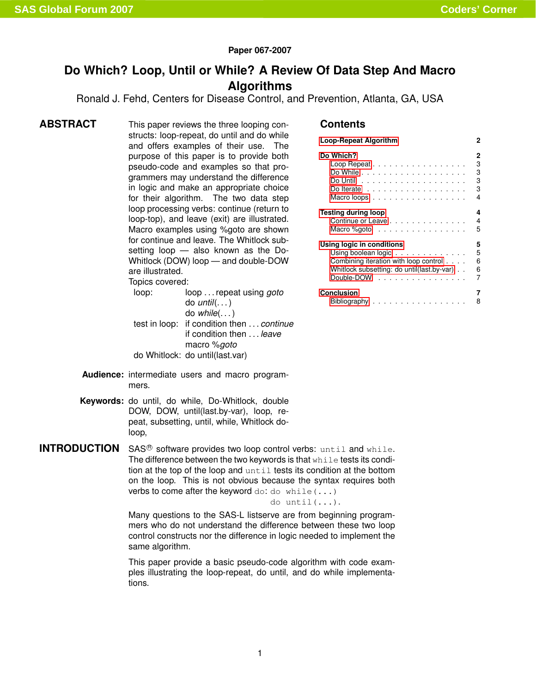### **Paper 067-2007**

# **Do Which? Loop, Until or While? A Review Of Data Step And Macro Algorithms**

Ronald J. Fehd, Centers for Disease Control, and Prevention, Atlanta, GA, USA

**ABSTRACT** This paper reviews the three looping constructs: loop-repeat, do until and do while and offers examples of their use. The purpose of this paper is to provide both pseudo-code and examples so that programmers may understand the difference in logic and make an appropriate choice for their algorithm. The two data step loop processing verbs: continue (return to loop-top), and leave (exit) are illustrated. Macro examples using %goto are shown for continue and leave. The Whitlock subsetting loop — also known as the Do-Whitlock (DOW) loop — and double-DOW are illustrated. Topics covered:

> loop: loop . . . repeat using *goto* do *until*(. . . ) do *while*(. . . ) test in loop: if condition then . . . *continue* if condition then . . . *leave* macro %*goto* do Whitlock: do until(last.var)

### **Contents**

| Loop-Repeat Algorithm                       | 2 |  |  |  |  |
|---------------------------------------------|---|--|--|--|--|
| Do Which?                                   | 2 |  |  |  |  |
| Loop Repeat                                 | 3 |  |  |  |  |
|                                             | 3 |  |  |  |  |
|                                             | 3 |  |  |  |  |
| Do Iterate $\ldots$                         | 3 |  |  |  |  |
| Macroloops                                  | 4 |  |  |  |  |
| Testing during loop<br>4                    |   |  |  |  |  |
| Continue or Leave                           | 4 |  |  |  |  |
| Macro %goto                                 | 5 |  |  |  |  |
| Using logic in conditions<br>5              |   |  |  |  |  |
| Using boolean logic                         | 5 |  |  |  |  |
| Combining iteration with loop control       | 6 |  |  |  |  |
| Whitlock subsetting: do until(last.by-var). | 6 |  |  |  |  |
| Double-DOW $\ldots$ , $\ldots$ , $\ldots$   | 7 |  |  |  |  |
| Conclusion                                  |   |  |  |  |  |
| Bibliography<br>.                           | 8 |  |  |  |  |

- **Audience:** intermediate users and macro programmers.
- **Keywords:** do until, do while, Do-Whitlock, double DOW, DOW, until(last.by-var), loop, repeat, subsetting, until, while, Whitlock doloop,

**INTRODUCTION**  $SAS^{\circledR}$  software provides two loop control verbs: until and while. The difference between the two keywords is that while tests its condition at the top of the loop and until tests its condition at the bottom on the loop. This is not obvious because the syntax requires both verbs to come after the keyword  $d$ o:  $d$ o while( $\ldots$ )

do until(...).

Many questions to the SAS-L listserve are from beginning programmers who do not understand the difference between these two loop control constructs nor the difference in logic needed to implement the same algorithm.

This paper provide a basic pseudo-code algorithm with code examples illustrating the loop-repeat, do until, and do while implementations.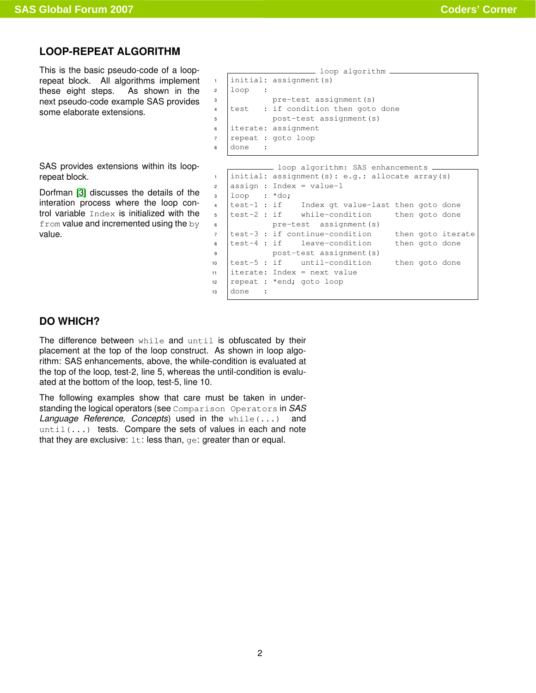## **LOOP-REPEAT ALGORITHM**

<span id="page-1-0"></span>This is the basic pseudo-code of a looprepeat block. All algorithms implement these eight steps. As shown in the next pseudo-code example SAS provides some elaborate extensions.

SAS provides extensions within its looprepeat block.

Dorfman [\[3\]](#page-7-1) discusses the details of the interation process where the loop control variable Index is initialized with the  $from$  value and incremented using the  $by$ value.

```
loop algorithm
1 initial: assignment(s)
2 \mid loop :
3 pre-test assignment(s)
4 test : if condition then goto done
5 post-test assignment(s)
6 iterate: assignment
7 repeat : goto loop
8 done :
```

```
- loop algorithm: SAS enhancements.
1 initial: assignment(s): e.g.: allocate array(s)
2 \text{ | assign : Index = value-1}3 \mid loop : *do;4 test-1 : if Index gt value-last then goto done
5 test-2 : if while-condition then goto done
6 pre-test assignment(s)
7 test-3 : if continue-condition then goto iterate
8 test-4 : if leave-condition then goto done
9 post-test assignment(s)
10 test-5 : if until-condition then goto done
11 literate: Index = next value
12 repeat : *end; goto loop
13 done :
```
## <span id="page-1-1"></span>**DO WHICH?**

The difference between while and until is obfuscated by their placement at the top of the loop construct. As shown in loop algorithm: SAS enhancements, above, the while-condition is evaluated at the top of the loop, test-2, line 5, whereas the until-condition is evaluated at the bottom of the loop, test-5, line 10.

The following examples show that care must be taken in understanding the logical operators (see Comparison Operators in *SAS Language Reference, Concepts*) used in the while(...) and  $until (...)$  tests. Compare the sets of values in each and note that they are exclusive:  $1t$ : less than, ge: greater than or equal.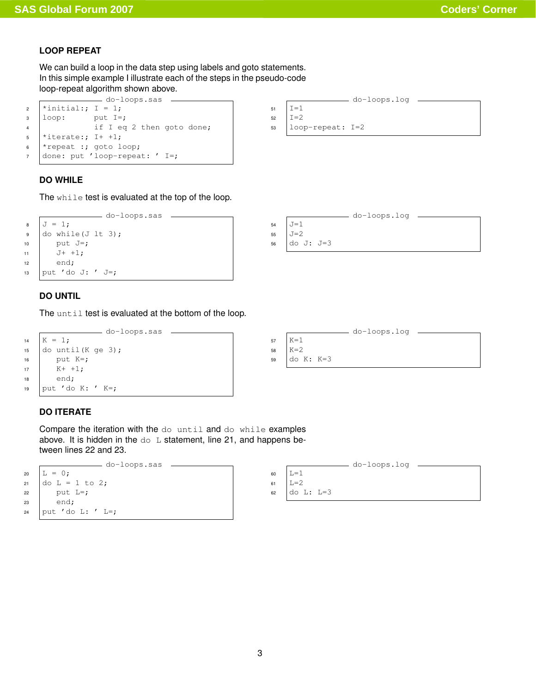### <span id="page-2-0"></span>**LOOP REPEAT**

We can build a loop in the data step using labels and goto statements. In this simple example I illustrate each of the steps in the pseudo-code loop-repeat algorithm shown above.

| do-loops.sas    |                                 |                                  |  |  |  |  |
|-----------------|---------------------------------|----------------------------------|--|--|--|--|
|                 | $\frac{1}{2}$ *initial:; I = 1; |                                  |  |  |  |  |
| $\overline{3}$  | loop:                           | put I=;                          |  |  |  |  |
| $\overline{4}$  |                                 | if I eq 2 then goto done;        |  |  |  |  |
| 5 <sub>5</sub>  | $\vert$ *iterate:; I+ +1;       |                                  |  |  |  |  |
| $6\overline{6}$ | *repeat :; goto loop;           |                                  |  |  |  |  |
| 7               |                                 | done: put 'loop-repeat: ' $I=$ ; |  |  |  |  |
|                 |                                 |                                  |  |  |  |  |

| <b>DO WHILE</b> |  |  |
|-----------------|--|--|

<span id="page-2-1"></span>The while test is evaluated at the top of the loop.

```
do-loops.sas
8 \mid J = 1;\bullet do while(J lt 3);
10 | put J=;
11 J^+ +1;
12 end;
13 put 'do J: ' J=;
```
### <span id="page-2-2"></span>**DO UNTIL**

The until test is evaluated at the bottom of the loop.

```
do-loops.sas
14 | K = 1;
15 \vert do until (K ge 3);
16 put K=;
17 K+1;18 end;
19 put 'do K: ' K=;
```
## <span id="page-2-3"></span>**DO ITERATE**

Compare the iteration with the do until and do while examples above. It is hidden in the  $d \circ L$  statement, line 21, and happens between lines 22 and 23.



|    | do-loops.log     |
|----|------------------|
| 51 | $=1$             |
| 52 | $= 2$            |
| 53 | loop-repeat: I=2 |
|    |                  |





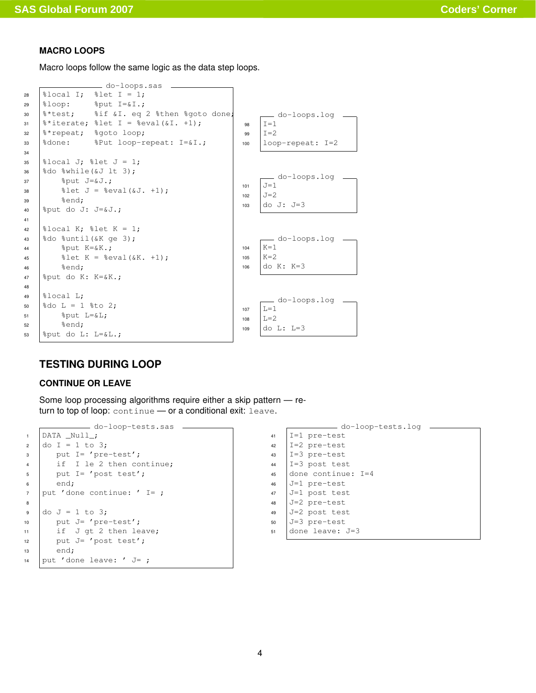## <span id="page-3-0"></span>**MACRO LOOPS**

Macro loops follow the same logic as the data step loops.



## <span id="page-3-1"></span>**TESTING DURING LOOP**

### <span id="page-3-2"></span>**CONTINUE OR LEAVE**

Some loop processing algorithms require either a skip pattern — return to top of loop: continue - or a conditional exit: leave.

```
do-loop-tests.sas
1 DATA _Null_;
2 do I = 1 to 3;
3 put I= 'pre-test';
4 if I le 2 then continue;
5 put I= 'post test';
6 end;
7 put 'done continue: ' I= ;
8
9 \text{ do } J = 1 \text{ to } 3;10 | put J= 'pre-test';
11 if J gt 2 then leave;
12 put J= 'post test';
13 end;
14 put 'done leave: ' J = j
```

```
do-loop-tests.log
41 I=1 pre-test
42 |I=2 pre-test
43 I=3 pre-test
1=3 post test
45 done continue: I=4
46 J=1 pre-test
47 J=1 post test
48 J=2 pre-test
49 J=2 post test
50 J=3 pre-test
51 done leave: J=3
```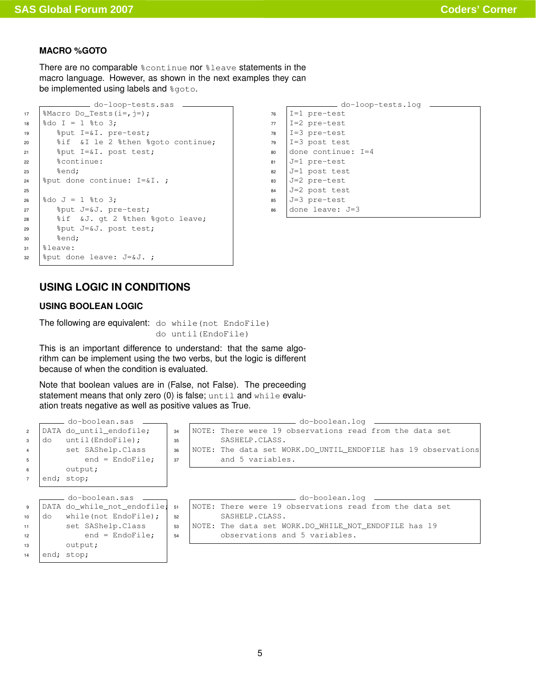## <span id="page-4-0"></span>**MACRO %GOTO**

There are no comparable  $%$ continue nor  $%$ leave statements in the macro language. However, as shown in the next examples they can be implemented using labels and  $sgoto$ .

```
do-loop-tests.sas
17 | \text{Macco Do\_Tests}(i=,j=);18 \frac{1}{2} do I = 1 \frac{1}{2} to 3;
19 %put I=&I. pre-test;
20 | %if &I le 2 %then %goto continue;
21 %put I=&I. post test;
22 %continue:
23 \text{send};
24 | \text{sput} done continue: I=&I.;
25
26 \frac{1}{26} \frac{1}{26} \frac{1}{26} \frac{1}{26} \frac{1}{26} \frac{1}{26} \frac{1}{26} \frac{1}{26} \frac{1}{26} \frac{1}{26} \frac{1}{26} \frac{1}{26} \frac{1}{26} \frac{1}{26} \frac{1}{26} \frac{1}{26} \frac{1}{26} \frac{1}{26} \frac{1}{26} \frac{1}{26}27 %put J=&J. pre-test;
28 | %if &J. gt 2 %then %goto leave;
29 \frac{1}{20} \frac{20}{3} \frac{1}{20} \frac{1}{20} \frac{1}{20} \frac{1}{20} \frac{1}{20} \frac{1}{20} \frac{1}{20} \frac{1}{20} \frac{1}{20} \frac{1}{20} \frac{1}{20} \frac{1}{20} \frac{1}{20} \frac{1}{20} \frac{1}{20} \frac{1}{20} \frac{1}{20} \frac{1}{230 \text{send};
31 %leave:
32 | %put done leave: J=&J. ;
```

|    | do-loop-tests.log  |  |
|----|--------------------|--|
| 76 | $I=1$ pre-test     |  |
| 77 | $I=2$ pre-test     |  |
| 78 | $I=3$ pre-test     |  |
| 79 | $I=3$ post test    |  |
| 80 | done continue: I=4 |  |
| 81 | J=1 pre-test       |  |
| 82 | J=1 post test      |  |
| 83 | J=2 pre-test       |  |
| 84 | J=2 post test      |  |
| 85 | J=3 pre-test       |  |
| 86 | done leave: J=3    |  |
|    |                    |  |

## **USING LOGIC IN CONDITIONS**

### <span id="page-4-2"></span><span id="page-4-1"></span>**USING BOOLEAN LOGIC**

The following are equivalent: do while (not EndoFile) do until(EndoFile)

This is an important difference to understand: that the same algorithm can be implement using the two verbs, but the logic is different because of when the condition is evaluated.

Note that boolean values are in (False, not False). The preceeding statement means that only zero  $(0)$  is false;  $until$  and  $while$  evaluation treats negative as well as positive values as True.

| $\overline{2}$<br>3<br>$\overline{4}$<br>5 | do | do-boolean.sas _____<br>DATA do until endofile;<br>until (EndoFile);<br>set SAShelp.Class<br>$end = EndOfile;$ | 34<br>35<br>36<br>37 | — do-boolean.loq<br>NOTE: There were 19 observations read from the data set<br>SASHELP.CLASS.<br>NOTE: The data set WORK.DO UNTIL ENDOFILE has 19 observations<br>and 5 variables. |
|--------------------------------------------|----|----------------------------------------------------------------------------------------------------------------|----------------------|------------------------------------------------------------------------------------------------------------------------------------------------------------------------------------|
| 6                                          |    | output;                                                                                                        |                      |                                                                                                                                                                                    |
| $\overline{7}$                             |    | end; stop;                                                                                                     |                      |                                                                                                                                                                                    |
| 9                                          |    | do-boolean.sas _____<br>DATA do while not endofile;                                                            | 51                   | ___ do-boolean.loq _______<br>NOTE: There were 19 observations read from the data set                                                                                              |
| 10                                         | do | while(not EndoFile);                                                                                           | 52                   | SASHELP.CLASS.                                                                                                                                                                     |
| 11                                         |    | set SAShelp.Class                                                                                              | 53                   | NOTE: The data set WORK.DO WHILE NOT ENDOFILE has 19                                                                                                                               |
| 12                                         |    | $end = EndOfile;$                                                                                              | 54                   | observations and 5 variables.                                                                                                                                                      |
| 13                                         |    | output;                                                                                                        |                      |                                                                                                                                                                                    |
| 14                                         |    | end; stop;                                                                                                     |                      |                                                                                                                                                                                    |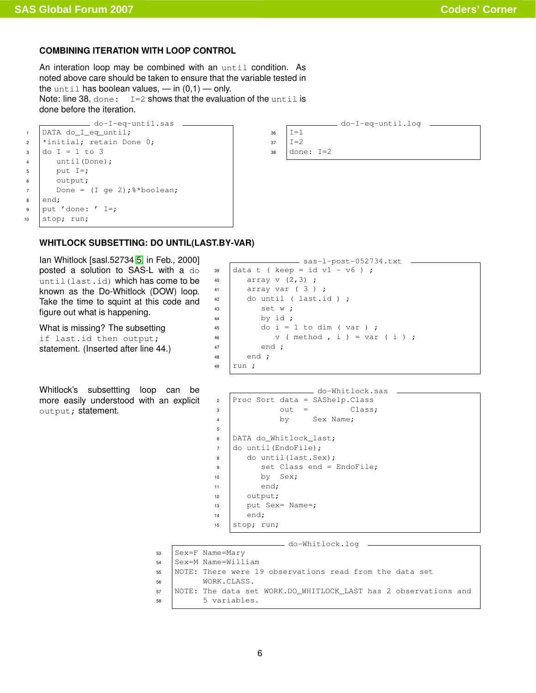## <span id="page-5-0"></span>**COMBINING ITERATION WITH LOOP CONTROL**

An interation loop may be combined with an until condition. As noted above care should be taken to ensure that the variable tested in the until has boolean values,  $-$  in  $(0,1)$   $-$  only. Note: line 38,  $done: I=2$  shows that the evaluation of the until is done before the iteration.

```
do-I-eq-until.sas
1 DATA do_I_eq_until;
2 *initial; retain Done 0;
3 \mid do I = 1 to 3
4 until(Done);
5 put I=;
6 output;
7 Done = (I \text{ qe } 2); *boolean;
8 end;
\bullet put 'done: ' I=;
10 stop; run;
```
do-I-eq-until.log  $36$   $T=1$  $37 \quad \text{I}=2$ <sup>38</sup> done: I=2

## **WHITLOCK SUBSETTING: DO UNTIL(LAST.BY-VAR)**

<span id="page-5-1"></span>Ian Whitlock [sasl.52734 [5,](#page-7-2) in Feb., 2000] posted a solution to SAS-L with a do until(last.id) which has come to be known as the Do-Whitlock (DOW) loop. Take the time to squint at this code and figure out what is happening.

What is missing? The subsetting if last.id then output; statement. (Inserted after line 44.)

Whitlock's subsettting loop can be more easily understood with an explicit output; statement.

```
sas-l-post-052734.txt
39 data t ( keep = id v1 - v6 ) ;
40 \vert array v (2, 3);
41 array var (3);
42 do until (last.id);
43 \vert set w;
44 by id ;
45 do i = 1 to dim ( var );
46 \vert v (method, i) = var (i);
47 end ;
48 end;
49 | run ;
```

```
do-Whitlock.sas
2 Proc Sort data = SAShelp. Class
3 \t\t out = \t\text{Class};4 by Sex Name;
5
6 DATA do_Whitlock_last;
7 do until(EndoFile);
8 do until(last.Sex);
\bullet set Class end = EndoFile;
10 by Sex;
11 end:
12 output;
13 | put Sex= Name=;
14 end;
15 \vert stop; run;
```
do-Whitlock.log

- <sup>53</sup> Sex=F Name=Mary
- <sup>54</sup> Sex=M Name=William
- <sup>55</sup> NOTE: There were 19 observations read from the data set <sup>56</sup> WORK.CLASS.
- <sup>57</sup> NOTE: The data set WORK.DO\_WHITLOCK\_LAST has 2 observations and 58 | 5 variables.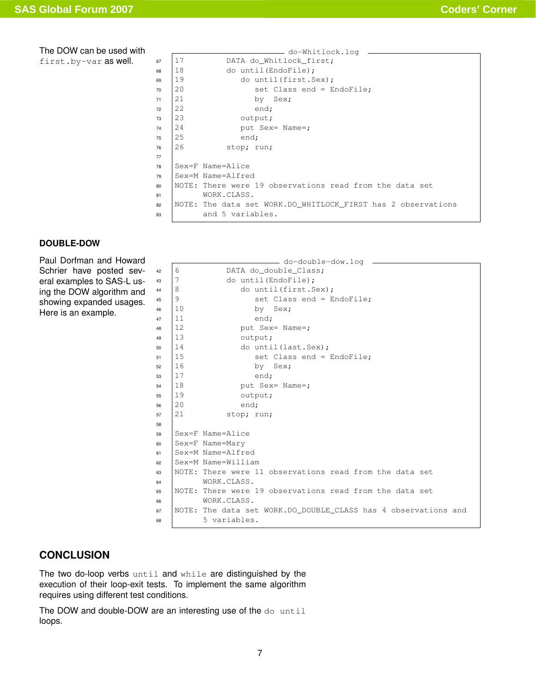### The DOW can be used with

first.by-var as well.

|    |     | do-Whitlock.log                                              |  |  |  |  |  |
|----|-----|--------------------------------------------------------------|--|--|--|--|--|
| 67 | 17  | DATA do Whitlock first;                                      |  |  |  |  |  |
| 68 | 18  | do until (EndoFile);                                         |  |  |  |  |  |
| 69 | 19  | do until (first. Sex);                                       |  |  |  |  |  |
| 70 | 2.0 | set Class end = EndoFile;                                    |  |  |  |  |  |
| 71 | 2.1 | by Sex;                                                      |  |  |  |  |  |
| 72 | 22  | end;                                                         |  |  |  |  |  |
| 73 | 2.3 | output;                                                      |  |  |  |  |  |
| 74 | 24  | put Sex= Name=;                                              |  |  |  |  |  |
| 75 | 25  | end;                                                         |  |  |  |  |  |
| 76 | 26  | stop; run;                                                   |  |  |  |  |  |
| 77 |     |                                                              |  |  |  |  |  |
| 78 |     | Sex=F Name=Alice                                             |  |  |  |  |  |
| 79 |     | Sex=M Name=Alfred                                            |  |  |  |  |  |
| 80 |     | NOTE: There were 19 observations read from the data set      |  |  |  |  |  |
| 81 |     | WORK.CLASS.                                                  |  |  |  |  |  |
| 82 |     | NOTE: The data set WORK.DO WHITLOCK FIRST has 2 observations |  |  |  |  |  |
| 83 |     | and 5 variables.                                             |  |  |  |  |  |

### <span id="page-6-0"></span>**DOUBLE-DOW**

Paul Dorfman and Howard Schrier have posted several examples to SAS-L using the DOW algorithm and showing expanded usages. Here is an example.

```
do-double-dow.log
42 \mid 6 DATA do_double_Class;
43 |7 do until (EndoFile);
44 \vert 8 do until (first. Sex);
45 \mid 9 set Class end = EndoFile;
46 | 10 by Sex;
47 | 11 end;
48 | 12 put Sex= Name=;
49 \mid 13 output;
50 \mid 14 do until(last.Sex);
51 15 set Class end = EndoFile;
52 \mid 16 by Sex;
53 17 end;
54 \mid 18 put Sex= Name=;
55 \mid 19 output;
56 20 end;
57 21 stop; run;
58
59 Sex=F Name=Alice
60 Sex=F Name=Mary
61 Sex=M Name=Alfred
62 Sex=M Name=William
63 NOTE: There were 11 observations read from the data set
64 WORK.CLASS.
65 NOTE: There were 19 observations read from the data set
66 WORK.CLASS.
67 NOTE: The data set WORK.DO_DOUBLE_CLASS has 4 observations and
68 | 5 variables.
```
## **CONCLUSION**

<span id="page-6-1"></span>The two do-loop verbs until and while are distinguished by the execution of their loop-exit tests. To implement the same algorithm requires using different test conditions.

The DOW and double-DOW are an interesting use of the do until loops.